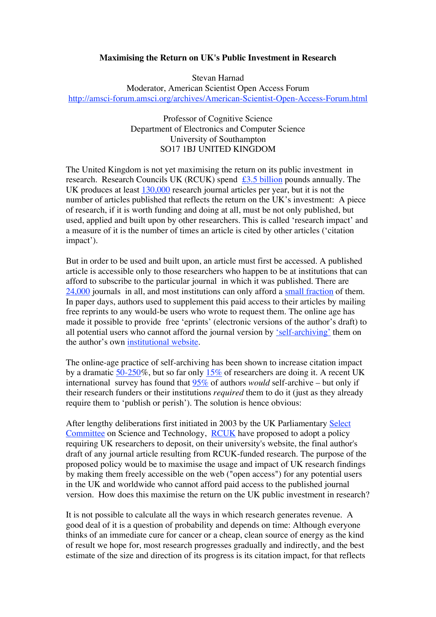## **Maximising the Return on UK's Public Investment in Research**

Stevan Harnad

Moderator, American Scientist Open Access Forum http://amsci-forum.amsci.org/archives/American-Scientist-Open-Access-Forum.html

> Professor of Cognitive Science Department of Electronics and Computer Science University of Southampton SO17 1BJ UNITED KINGDOM

The United Kingdom is not yet maximising the return on its public investment in research. Research Councils UK (RCUK) spend  $\frac{£3.5 \text{ billion}}{2.5 \text{ billion}}$  pounds annually. The UK produces at least  $130,000$  research journal articles per year, but it is not the number of articles published that reflects the return on the UK's investment: A piece of research, if it is worth funding and doing at all, must be not only published, but used, applied and built upon by other researchers. This is called 'research impact' and a measure of it is the number of times an article is cited by other articles ('citation impact').

But in order to be used and built upon, an article must first be accessed. A published article is accessible only to those researchers who happen to be at institutions that can afford to subscribe to the particular journal in which it was published. There are 24,000 journals in all, and most institutions can only afford a small fraction of them. In paper days, authors used to supplement this paid access to their articles by mailing free reprints to any would-be users who wrote to request them. The online age has made it possible to provide free 'eprints' (electronic versions of the author's draft) to all potential users who cannot afford the journal version by 'self-archiving' them on the author's own institutional website.

The online-age practice of self-archiving has been shown to increase citation impact by a dramatic 50-250%, but so far only 15% of researchers are doing it. A recent UK international survey has found that 95% of authors *would* self-archive – but only if their research funders or their institutions *required* them to do it (just as they already require them to 'publish or perish'). The solution is hence obvious:

After lengthy deliberations first initiated in 2003 by the UK Parliamentary Select Committee on Science and Technology, RCUK have proposed to adopt a policy requiring UK researchers to deposit, on their university's website, the final author's draft of any journal article resulting from RCUK-funded research. The purpose of the proposed policy would be to maximise the usage and impact of UK research findings by making them freely accessible on the web ("open access") for any potential users in the UK and worldwide who cannot afford paid access to the published journal version. How does this maximise the return on the UK public investment in research?

It is not possible to calculate all the ways in which research generates revenue. A good deal of it is a question of probability and depends on time: Although everyone thinks of an immediate cure for cancer or a cheap, clean source of energy as the kind of result we hope for, most research progresses gradually and indirectly, and the best estimate of the size and direction of its progress is its citation impact, for that reflects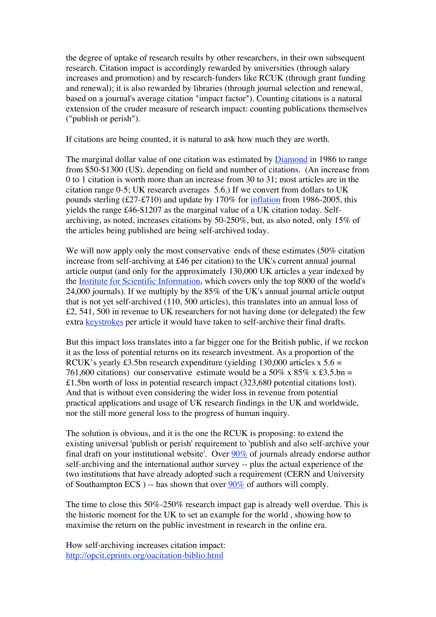the degree of uptake of research results by other researchers, in their own subsequent research. Citation impact is accordingly rewarded by universities (through salary increases and promotion) and by research-funders like RCUK (through grant funding and renewal); it is also rewarded by libraries (through journal selection and renewal, based on a journal's average citation "impact factor"). Counting citations is a natural extension of the cruder measure of research impact: counting publications themselves ("publish or perish").

If citations are being counted, it is natural to ask how much they are worth.

The marginal dollar value of one citation was estimated by **Diamond** in 1986 to range from \$50-\$1300 (US), depending on field and number of citations. (An increase from 0 to 1 citation is worth more than an increase from 30 to 31; most articles are in the citation range 0-5; UK research averages 5.6.) If we convert from dollars to UK pounds sterling (£27-£710) and update by 170% for inflation from 1986-2005, this yields the range £46-\$1207 as the marginal value of a UK citation today. Selfarchiving, as noted, increases citations by 50-250%, but, as also noted, only 15% of the articles being published are being self-archived today.

We will now apply only the most conservative ends of these estimates (50% citation increase from self-archiving at £46 per citation) to the UK's current annual journal article output (and only for the approximately 130,000 UK articles a year indexed by the Institute for Scientific Information, which covers only the top 8000 of the world's 24,000 journals). If we multiply by the 85% of the UK's annual journal article output that is not yet self-archived (110, 500 articles), this translates into an annual loss of £2, 541, 500 in revenue to UK researchers for not having done (or delegated) the few extra keystrokes per article it would have taken to self-archive their final drafts.

But this impact loss translates into a far bigger one for the British public, if we reckon it as the loss of potential returns on its research investment. As a proportion of the RCUK's yearly £3.5bn research expenditure (yielding 130,000 articles x  $5.6 =$ 761,600 citations) our conservative estimate would be a 50% x 85% x £3.5.bn = £1.5bn worth of loss in potential research impact (323,680 potential citations lost). And that is without even considering the wider loss in revenue from potential practical applications and usage of UK research findings in the UK and worldwide, nor the still more general loss to the progress of human inquiry.

The solution is obvious, and it is the one the RCUK is proposing: to extend the existing universal 'publish or perish' requirement to 'publish and also self-archive your final draft on your institutional website'. Over 90% of journals already endorse author self-archiving and the international author survey -- plus the actual experience of the two institutions that have already adopted such a requirement (CERN and University of Southampton ECS ) -- has shown that over  $90\%$  of authors will comply.

The time to close this 50%-250% research impact gap is already well overdue. This is the historic moment for the UK to set an example for the world , showing how to maximise the return on the public investment in research in the online era.

How self-archiving increases citation impact: http://opcit.eprints.org/oacitation-biblio.html